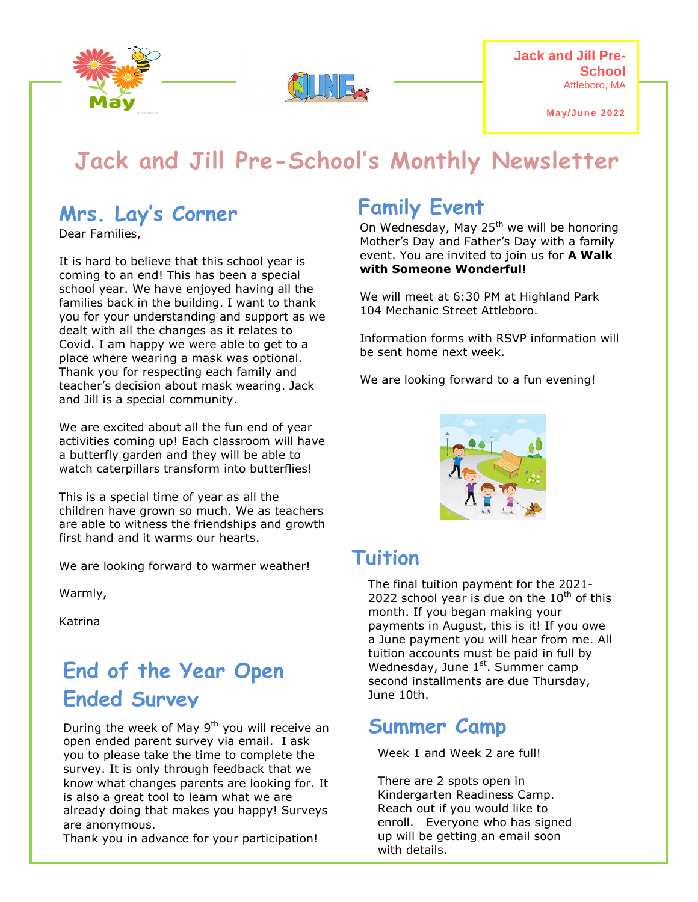

**Jack and Jill Pre-School**  Attleboro, MA

**May/June 2022**

# **Jack and Jill Pre-School's Monthly Newsletter**

# **Mrs. Lay's Corner**

Dear Families,

It is hard to believe that this school year is coming to an end! This has been a special school year. We have enjoyed having all the families back in the building. I want to thank you for your understanding and support as we dealt with all the changes as it relates to Covid. I am happy we were able to get to a place where wearing a mask was optional. Thank you for respecting each family and teacher's decision about mask wearing. Jack and Jill is a special community.

We are excited about all the fun end of year activities coming up! Each classroom will have a butterfly garden and they will be able to watch caterpillars transform into butterflies!

This is a special time of year as all the children have grown so much. We as teachers are able to witness the friendships and growth first hand and it warms our hearts.

We are looking forward to warmer weather!

Warmly,

Katrina

# **End of the Year Open Ended Survey**

During the week of May  $9<sup>th</sup>$  you will receive an open ended parent survey via email. I ask you to please take the time to complete the survey. It is only through feedback that we know what changes parents are looking for. It is also a great tool to learn what we are already doing that makes you happy! Surveys are anonymous.

Thank you in advance for your participation!

# **Family Event**

On Wednesday, May 25<sup>th</sup> we will be honoring Mother's Day and Father's Day with a family event. You are invited to join us for **A Walk with Someone Wonderful!**

We will meet at 6:30 PM at Highland Park 104 Mechanic Street Attleboro.

Information forms with RSVP information will be sent home next week.

We are looking forward to a fun evening!



### **Tuition**

The final tuition payment for the 2021- 2022 school year is due on the  $10^{th}$  of this month. If you began making your payments in August, this is it! If you owe a June payment you will hear from me. All tuition accounts must be paid in full by Wednesday, June 1<sup>st</sup>. Summer camp second installments are due Thursday, June 10th.

# **Summer Camp**

Week 1 and Week 2 are full!

There are 2 spots open in Kindergarten Readiness Camp. Reach out if you would like to enroll. Everyone who has signed up will be getting an email soon with details.